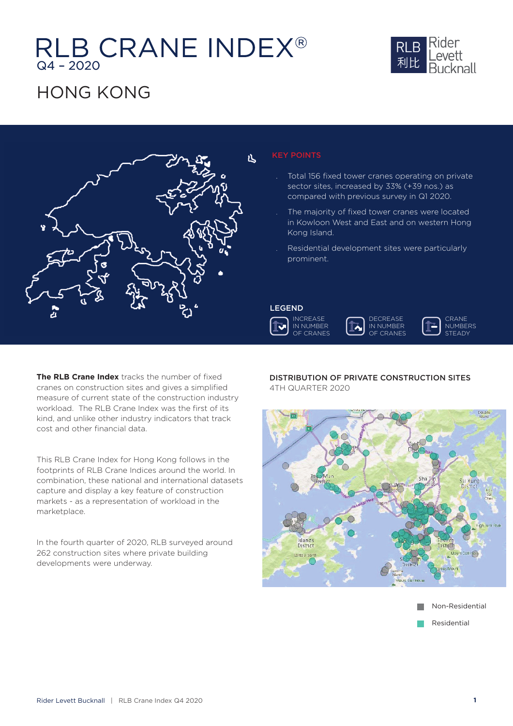# RLB CRANE INDEX®



### HONG KONG



#### KEY POINTS

- . Total 156 fixed tower cranes operating on private . To sector sites, increased by 33% (+39 nos.) as compared with previous survey in Q1 2020. co
- . The majority of fixed tower cranes were located . Th in Kowloon West and East and on western Hong in Kong Island. Ko
- . Residential development sites were particularly . Re prominent. pr

### LEGEND LEGE









**The RLB Crane Index** tracks the number of fixed cranes on construction sites and gives a simplified measure of current state of the construction industry workload. The RLB Crane Index was the first of its kind, and unlike other industry indicators that track cost and other financial data.

This RLB Crane Index for Hong Kong follows in the footprints of RLB Crane Indices around the world. In combination, these national and international datasets capture and display a key feature of construction markets - as a representation of workload in the marketplace.

In the fourth quarter of 2020, RLB surveyed around 262 construction sites where private building developments were underway.

#### DISTRIBUTION OF PRIVATE CONSTRUCTION SITES 4TH QUARTER 2020